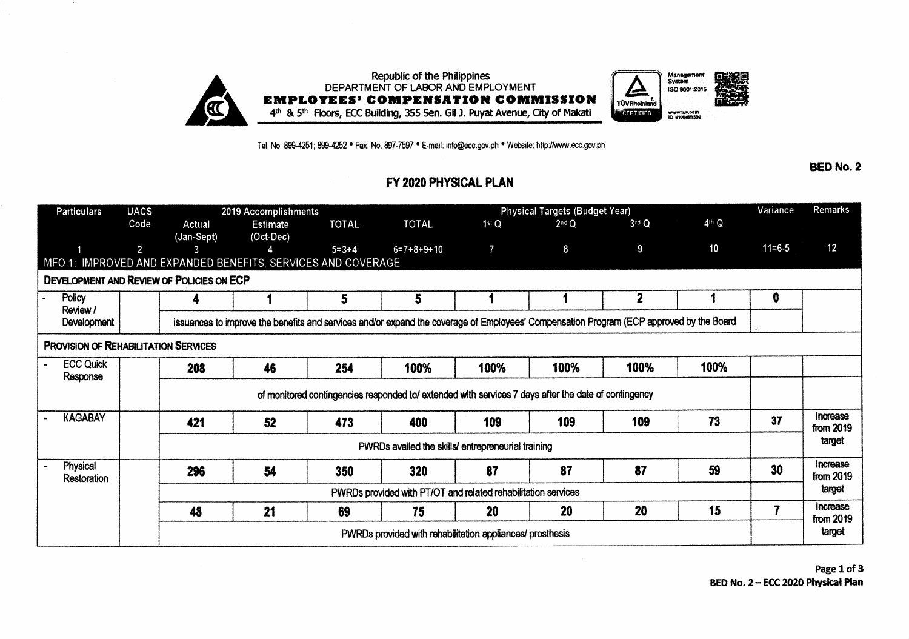

Tel. No. 899-4251; 899-4252 · Fax. No. 897-7597 · E-mail: info@ecc.gov.ph · Website: http://www.ecc.gov.ph

**BED No. 2** 

## FY 2020 PHYSICAL PLAN

| <b>Particulars</b>                                           | <b>UACS</b>    | 2019 Accomplishments                                                                                                                    |                                       |              |              | <b>Physical Targets (Budget Year)</b> |           |              |         |            | <b>Remarks</b>        |
|--------------------------------------------------------------|----------------|-----------------------------------------------------------------------------------------------------------------------------------------|---------------------------------------|--------------|--------------|---------------------------------------|-----------|--------------|---------|------------|-----------------------|
|                                                              | Code           | Actual<br>(Jan-Sept)                                                                                                                    | <b>Estimate</b><br>$(Oct\text{-}Dec)$ | <b>TOTAL</b> | <b>TOTAL</b> | 1stQ                                  | $2nd$ $Q$ | $3rd$ Q      | $4th$ Q |            |                       |
|                                                              | $\overline{2}$ | 3                                                                                                                                       |                                       | $5 = 3 + 4$  | $6=7+8+9+10$ |                                       | 8         | 9            | 10      | $11 = 6.5$ | 12                    |
| MFO 1: IMPROVED AND EXPANDED BENEFITS, SERVICES AND COVERAGE |                |                                                                                                                                         |                                       |              |              |                                       |           |              |         |            |                       |
| <b>DEVELOPMENT AND REVIEW OF POLICIES ON ECP</b>             |                |                                                                                                                                         |                                       |              |              |                                       |           |              |         |            |                       |
| Policy<br>Review /<br>Development                            |                |                                                                                                                                         |                                       | 5            | 5            |                                       |           | $\mathbf{2}$ |         | 0          |                       |
|                                                              |                | issuances to improve the benefits and services and/or expand the coverage of Employees' Compensation Program (ECP approved by the Board |                                       |              |              |                                       |           |              |         |            |                       |
| <b>PROVISION OF REHABILITATION SERVICES</b>                  |                |                                                                                                                                         |                                       |              |              |                                       |           |              |         |            |                       |
| <b>ECC Quick</b><br>Response                                 |                | 208                                                                                                                                     | 46                                    | 254          | 100%         | 100%                                  | 100%      | 100%         | 100%    |            |                       |
|                                                              |                | of monitored contingencies responded to/extended with services 7 days after the date of contingency                                     |                                       |              |              |                                       |           |              |         |            |                       |
| <b>KAGABAY</b>                                               |                | 421                                                                                                                                     | 52                                    | 473          | 400          | 109                                   | 109       | 109          | 73      | 37         | Increase<br>from 2019 |
|                                                              |                | PWRDs availed the skills/ entrepreneurial training                                                                                      |                                       |              |              |                                       |           |              |         |            | target                |
| Physical<br>Restoration                                      |                | 296                                                                                                                                     | 54                                    | 350          | 320          | 87                                    | 87        | 87           | 59      | 30         | Increase<br>from 2019 |
|                                                              |                | PWRDs provided with PT/OT and related rehabilitation services                                                                           |                                       |              |              |                                       |           |              |         |            | target                |
|                                                              |                | 48                                                                                                                                      | 21                                    | 69           | 75           | 20                                    | 20        | 20           | 15      |            | Increase<br>from 2019 |
|                                                              |                | PWRDs provided with rehabilitation appliances/ prosthesis                                                                               |                                       |              |              |                                       |           |              |         |            | target                |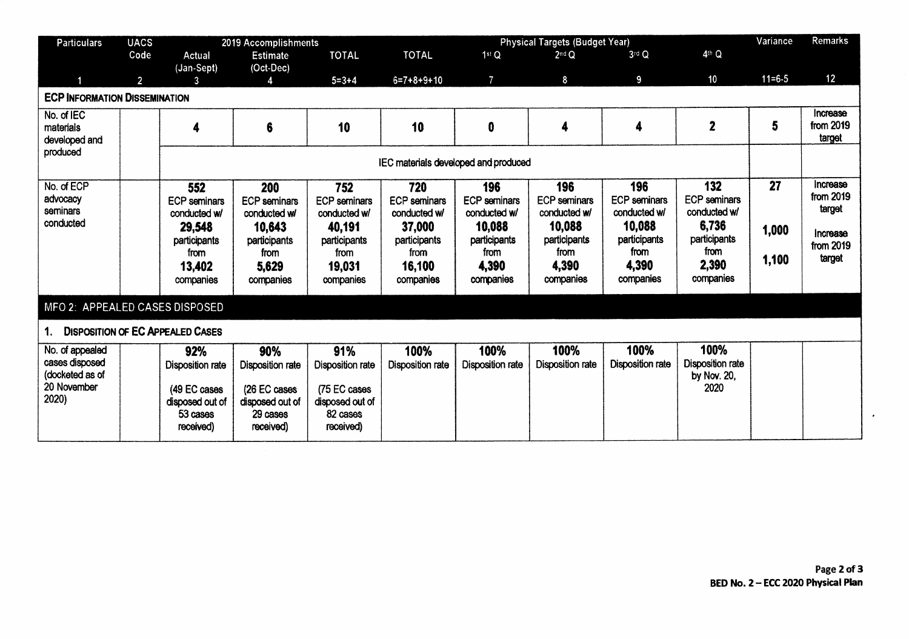| <b>Particulars</b>                            | <b>UACS</b>    |                                      | 2019 Accomplishments    | <b>Physical Targets (Budget Year)</b> |                     |                         |                      |                         |                         |            | Remarks               |
|-----------------------------------------------|----------------|--------------------------------------|-------------------------|---------------------------------------|---------------------|-------------------------|----------------------|-------------------------|-------------------------|------------|-----------------------|
|                                               | Code           | Actual                               | <b>Estimate</b>         | <b>TOTAL</b>                          | <b>TOTAL</b>        | 1 <sup>st</sup> Q       | 2 <sup>nd</sup> Q    | $3rd$ Q                 | 4th Q                   |            |                       |
|                                               |                | (Jan-Sept)                           | (Oct-Dec)               |                                       |                     |                         |                      |                         |                         |            |                       |
|                                               | $\overline{2}$ | 3                                    |                         | $5 = 3 + 4$                           | $6=7+8+9+10$        | $\overline{7}$          | 8                    | 9                       | 10                      | $11 = 6.5$ | 12                    |
| <b>ECP INFORMATION DISSEMINATION</b>          |                |                                      |                         |                                       |                     |                         |                      |                         |                         |            |                       |
| No. of IEC                                    |                |                                      |                         |                                       |                     |                         |                      |                         |                         |            | Increase              |
| materials                                     |                | 4                                    | 6                       | 10                                    | 10                  | $\bf{0}$                | 4                    | 4                       | $\overline{2}$          | 5          | from 2019             |
| developed and                                 |                |                                      |                         |                                       |                     |                         |                      |                         |                         |            | target                |
| produced                                      |                | IEC materials developed and produced |                         |                                       |                     |                         |                      |                         |                         |            |                       |
|                                               |                |                                      |                         |                                       |                     |                         |                      |                         |                         |            |                       |
| No. of ECP                                    |                | 552                                  | 200                     | 752                                   | 720                 | 196                     | 196                  | 196                     | 132                     | 27         | Increase<br>from 2019 |
| advocacy<br>seminars                          |                | <b>ECP</b> seminars                  | <b>ECP</b> seminars     | <b>ECP</b> seminars                   | <b>ECP</b> seminars | <b>ECP</b> seminars     | <b>ECP</b> seminars  | <b>ECP</b> seminars     | <b>ECP</b> seminars     |            | target                |
| conducted                                     |                | conducted w/                         | conducted w/            | conducted w/                          | conducted w/        | conducted w/            | conducted w/         | conducted w/            | conducted w/            |            |                       |
|                                               |                | 29,548                               | 10,643                  | 40,191                                | 37,000              | 10,088                  | 10,088               | 10,088                  | 6,736                   | 1,000      | Increase              |
|                                               |                | participants                         | participants            | participants                          | participants        | participants            | participants<br>from | participants<br>from    | participants<br>from    |            | from 2019             |
|                                               |                | from                                 | from                    | from                                  | from                | from                    |                      | 4,390                   | 2,390                   | 1,100      | target                |
|                                               |                | 13,402                               | 5,629                   | 19,031                                | 16,100              | 4,390                   | 4,390                |                         | companies               |            |                       |
|                                               |                | companies                            | companies               | companies                             | companies           | companies               | companies            | companies               |                         |            |                       |
| MFO 2: APPEALED CASES DISPOSED                |                |                                      |                         |                                       |                     |                         |                      |                         |                         |            |                       |
| <b>DISPOSITION OF EC APPEALED CASES</b><br>1. |                |                                      |                         |                                       |                     |                         |                      |                         |                         |            |                       |
| No. of appealed                               |                | 92%                                  | 90%                     | 91%                                   | 100%                | 100%                    | 100%                 | 100%                    | 100%                    |            |                       |
| cases disposed                                |                | <b>Disposition rate</b>              | <b>Disposition rate</b> | <b>Disposition rate</b>               | Disposition rate    | <b>Disposition rate</b> | Disposition rate     | <b>Disposition rate</b> | <b>Disposition rate</b> |            |                       |
| (docketed as of                               |                |                                      |                         |                                       |                     |                         |                      |                         | by Nov. 20,             |            |                       |
| 20 November                                   |                | (49 EC cases                         | (26 EC cases            | (75 EC cases                          |                     |                         |                      |                         | 2020                    |            |                       |
| 2020)                                         |                | disposed out of                      | disposed out of         | disposed out of                       |                     |                         |                      |                         |                         |            |                       |
|                                               |                | 53 cases                             | 29 cases                | 82 cases                              |                     |                         |                      |                         |                         |            |                       |
|                                               |                | received)                            | received)               | received)                             |                     |                         |                      |                         |                         |            |                       |
|                                               |                |                                      |                         |                                       |                     |                         |                      |                         |                         |            |                       |